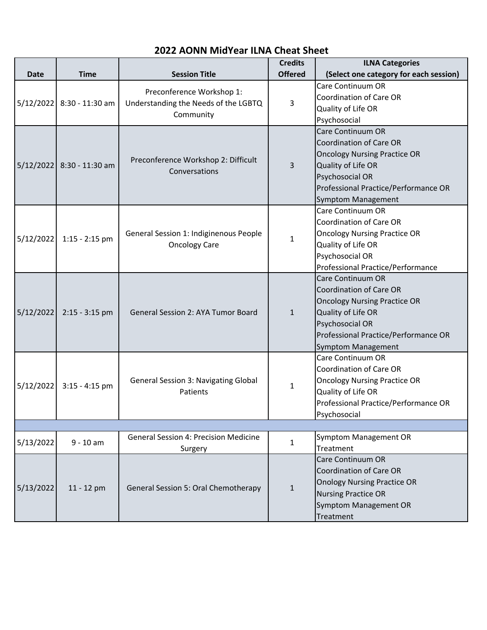|             |                           |                                                                                | <b>Credits</b> | <b>ILNA Categories</b>                                                                                                                                                                                   |  |  |  |  |
|-------------|---------------------------|--------------------------------------------------------------------------------|----------------|----------------------------------------------------------------------------------------------------------------------------------------------------------------------------------------------------------|--|--|--|--|
| <b>Date</b> | <b>Time</b>               | <b>Session Title</b>                                                           | <b>Offered</b> | (Select one category for each session)                                                                                                                                                                   |  |  |  |  |
|             | 5/12/2022 8:30 - 11:30 am | Preconference Workshop 1:<br>Understanding the Needs of the LGBTQ<br>Community | 3              | Care Continuum OR<br><b>Coordination of Care OR</b><br>Quality of Life OR<br>Psychosocial                                                                                                                |  |  |  |  |
|             | 5/12/2022 8:30 - 11:30 am | Preconference Workshop 2: Difficult<br>Conversations                           | 3              | Care Continuum OR<br><b>Coordination of Care OR</b><br><b>Oncology Nursing Practice OR</b><br>Quality of Life OR<br>Psychosocial OR<br>Professional Practice/Performance OR<br><b>Symptom Management</b> |  |  |  |  |
| 5/12/2022   | $1:15 - 2:15$ pm          | General Session 1: Indiginenous People<br><b>Oncology Care</b>                 | 1              | Care Continuum OR<br><b>Coordination of Care OR</b><br><b>Oncology Nursing Practice OR</b><br>Quality of Life OR<br>Psychosocial OR<br>Professional Practice/Performance                                 |  |  |  |  |
| 5/12/2022   | $2:15 - 3:15$ pm          | General Session 2: AYA Tumor Board                                             | $\mathbf{1}$   | <b>Care Continuum OR</b><br><b>Coordination of Care OR</b><br><b>Oncology Nursing Practice OR</b><br>Quality of Life OR<br>Psychosocial OR<br>Professional Practice/Performance OR<br>Symptom Management |  |  |  |  |
| 5/12/2022   | $3:15 - 4:15$ pm          | <b>General Session 3: Navigating Global</b><br>Patients                        | 1              | Care Continuum OR<br>Coordination of Care OR<br><b>Oncology Nursing Practice OR</b><br>Quality of Life OR<br>Professional Practice/Performance OR<br>Psychosocial                                        |  |  |  |  |
|             |                           |                                                                                |                |                                                                                                                                                                                                          |  |  |  |  |
| 5/13/2022   | $9 - 10$ am               | <b>General Session 4: Precision Medicine</b><br>Surgery                        | 1              | Symptom Management OR<br>Treatment                                                                                                                                                                       |  |  |  |  |
| 5/13/2022   | 11 - 12 pm                | General Session 5: Oral Chemotherapy                                           | $\mathbf{1}$   | Care Continuum OR<br><b>Coordination of Care OR</b><br><b>Onology Nursing Practice OR</b><br><b>Nursing Practice OR</b><br>Symptom Management OR<br>Treatment                                            |  |  |  |  |

## **2022 AONN MidYear ILNA Cheat Sheet**